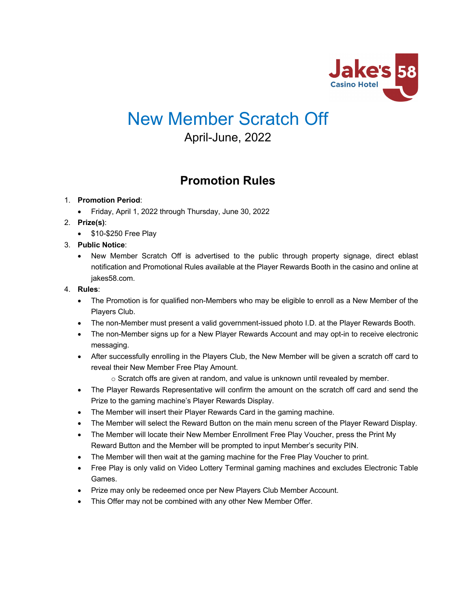

# New Member Scratch Off

April-June, 2022

# **Promotion Rules**

# 1. **Promotion Period**:

- Friday, April 1, 2022 through Thursday, June 30, 2022
- 2. **Prize(s)**:
	- \$10-\$250 Free Play

# 3. **Public Notice**:

• New Member Scratch Off is advertised to the public through property signage, direct eblast notification and Promotional Rules available at the Player Rewards Booth in the casino and online at jakes58.com.

# 4. **Rules**:

- The Promotion is for qualified non-Members who may be eligible to enroll as a New Member of the Players Club.
- The non-Member must present a valid government-issued photo I.D. at the Player Rewards Booth.
- The non-Member signs up for a New Player Rewards Account and may opt-in to receive electronic messaging.
- After successfully enrolling in the Players Club, the New Member will be given a scratch off card to reveal their New Member Free Play Amount.
	- $\circ$  Scratch offs are given at random, and value is unknown until revealed by member.
- The Player Rewards Representative will confirm the amount on the scratch off card and send the Prize to the gaming machine's Player Rewards Display.
- The Member will insert their Player Rewards Card in the gaming machine.
- The Member will select the Reward Button on the main menu screen of the Player Reward Display.
- The Member will locate their New Member Enrollment Free Play Voucher, press the Print My Reward Button and the Member will be prompted to input Member's security PIN.
- The Member will then wait at the gaming machine for the Free Play Voucher to print.
- Free Play is only valid on Video Lottery Terminal gaming machines and excludes Electronic Table Games.
- Prize may only be redeemed once per New Players Club Member Account.
- This Offer may not be combined with any other New Member Offer.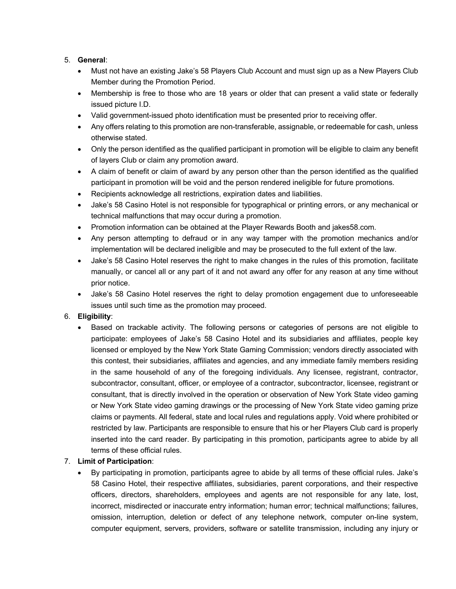# 5. **General**:

- Must not have an existing Jake's 58 Players Club Account and must sign up as a New Players Club Member during the Promotion Period.
- Membership is free to those who are 18 years or older that can present a valid state or federally issued picture I.D.
- Valid government-issued photo identification must be presented prior to receiving offer.
- Any offers relating to this promotion are non-transferable, assignable, or redeemable for cash, unless otherwise stated.
- Only the person identified as the qualified participant in promotion will be eligible to claim any benefit of layers Club or claim any promotion award.
- A claim of benefit or claim of award by any person other than the person identified as the qualified participant in promotion will be void and the person rendered ineligible for future promotions.
- Recipients acknowledge all restrictions, expiration dates and liabilities.
- Jake's 58 Casino Hotel is not responsible for typographical or printing errors, or any mechanical or technical malfunctions that may occur during a promotion.
- Promotion information can be obtained at the Player Rewards Booth and jakes58.com.
- Any person attempting to defraud or in any way tamper with the promotion mechanics and/or implementation will be declared ineligible and may be prosecuted to the full extent of the law.
- Jake's 58 Casino Hotel reserves the right to make changes in the rules of this promotion, facilitate manually, or cancel all or any part of it and not award any offer for any reason at any time without prior notice.
- Jake's 58 Casino Hotel reserves the right to delay promotion engagement due to unforeseeable issues until such time as the promotion may proceed.

#### 6. **Eligibility**:

• Based on trackable activity. The following persons or categories of persons are not eligible to participate: employees of Jake's 58 Casino Hotel and its subsidiaries and affiliates, people key licensed or employed by the New York State Gaming Commission; vendors directly associated with this contest, their subsidiaries, affiliates and agencies, and any immediate family members residing in the same household of any of the foregoing individuals. Any licensee, registrant, contractor, subcontractor, consultant, officer, or employee of a contractor, subcontractor, licensee, registrant or consultant, that is directly involved in the operation or observation of New York State video gaming or New York State video gaming drawings or the processing of New York State video gaming prize claims or payments. All federal, state and local rules and regulations apply. Void where prohibited or restricted by law. Participants are responsible to ensure that his or her Players Club card is properly inserted into the card reader. By participating in this promotion, participants agree to abide by all terms of these official rules.

#### 7. **Limit of Participation**:

• By participating in promotion, participants agree to abide by all terms of these official rules. Jake's 58 Casino Hotel, their respective affiliates, subsidiaries, parent corporations, and their respective officers, directors, shareholders, employees and agents are not responsible for any late, lost, incorrect, misdirected or inaccurate entry information; human error; technical malfunctions; failures, omission, interruption, deletion or defect of any telephone network, computer on-line system, computer equipment, servers, providers, software or satellite transmission, including any injury or